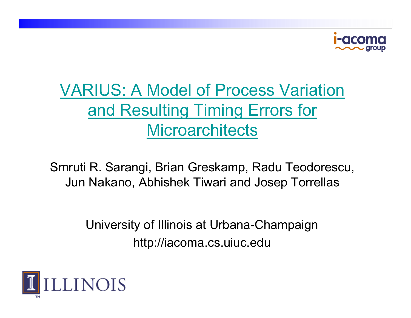

#### **VARIUS: A Model of Process Variation** and Resulting Timing Errors for **Microarchitects**

Smruti R. Sarangi, Brian Greskamp, Radu Teodorescu, Jun Nakano, Abhishek Tiwari and Josep Torrellas

> University of Illinois at Urbana-Champaign http://iacoma.cs.uiuc.edu

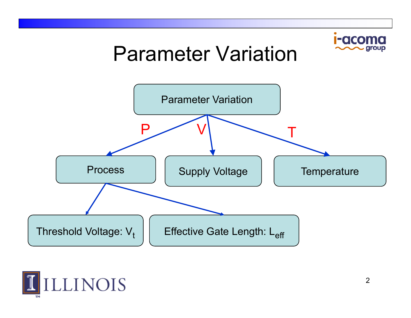

### Parameter Variation



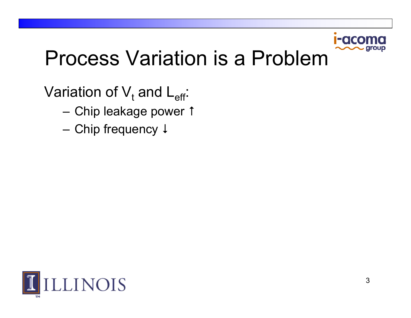

### **Process Variation is a Problem**

Variation of  $V_t$  and  $L_{eff}$ :

- Chip leakage power 1
- Chip frequency ↓

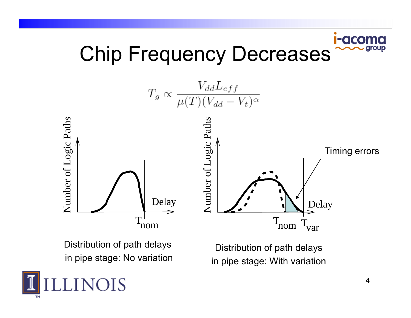#### **I-aco** Chip Frequency Decreases



Distribution of path delays in pipe stage: No variation

Distribution of path delays If pipe stage. No variation in pipe stage: With variation

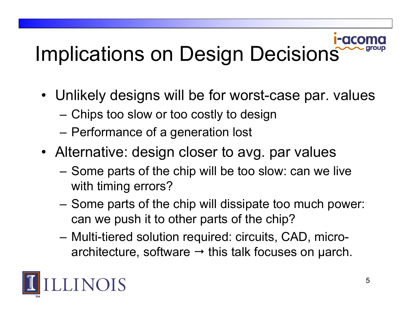# Implications on Design Decisions

- Unlikely designs will be for worst-case par. values
	- Chips too slow or too costly to design
	- Performance of a generation lost
- Alternative: design closer to avg. par values
	- Some parts of the chip will be too slow: can we live with timing errors?
	- – Some parts of the chip will dissipate too much power: can we push it to other parts of the chip?
	- Multi-tiered solution required: circuits, CAD, microarchitecture, software → this talk focuses on µarch.

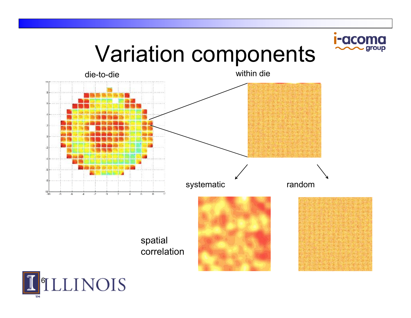## Variation components

I-acoma

group



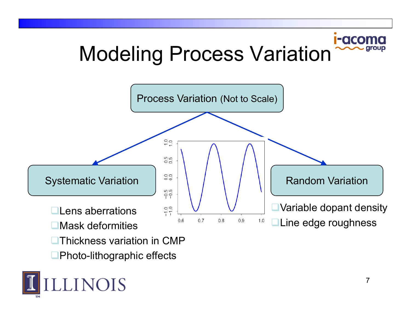#### **I-acor** Modeling Process Variation



 $\blacksquare$ Photo-lithographic effects

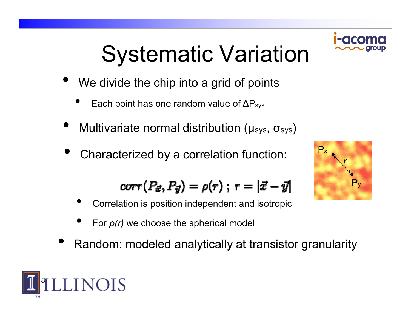# Systematic Variation

- •We divide the chip into a grid of points
	- •• Each point has one random value of  $\Delta P_{sys}$
- •• Multivariate normal distribution (μ<sub>sys</sub>, σ<sub>sys</sub>)
- •Characterized by a correlation function:

$$
corr(P_{\vec{x}}, P_{\vec{y}}) = \rho(r) ; r = |\vec{x} - \vec{y}|
$$

- •Correlation is position independent and isotropic
- •For *ρ(r)* we choose the spherical model
- •Random: modeled analytically at transistor granularity





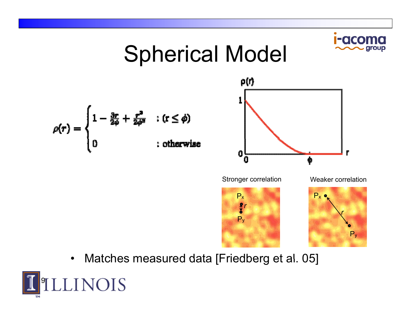#### Spherical Model ρ(r)  $\rho(r) = \begin{cases} 1 - \frac{3r}{2\phi} + \frac{r^2}{2\phi^2} & : (r \le \phi) \\ 0 & : \text{otherwise} \end{cases}$ 0 O Φ Stronger correlation Weaker correlation P xP x *r*

P Py

*r*

Py

•• Matches measured data [Friedberg et al. 05]

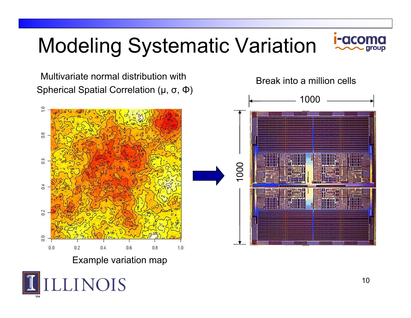## Modeling Systematic Variation



 Multivariate normal distribution with Spherical Spatial Correlation ( μ, σ, Φ)





**INOIS**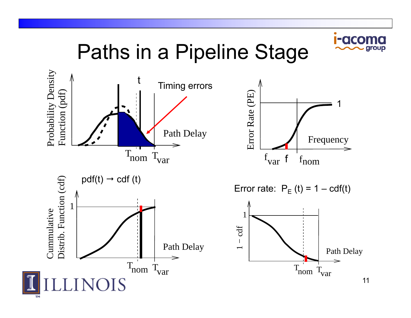

Paths in <sup>a</sup> Pipeline Stage









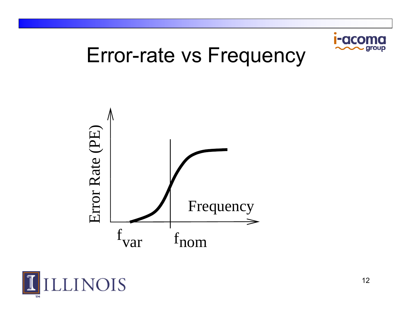

### Error-rate vs Frequency



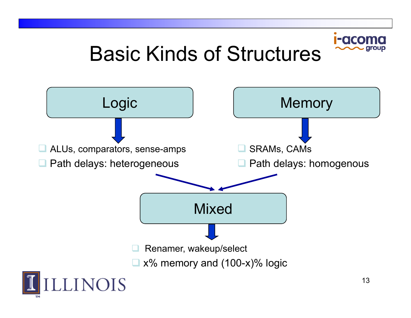## FOCO Basic Kinds of Structures

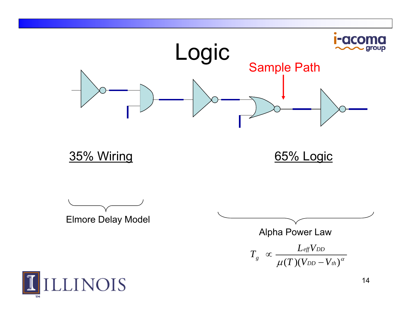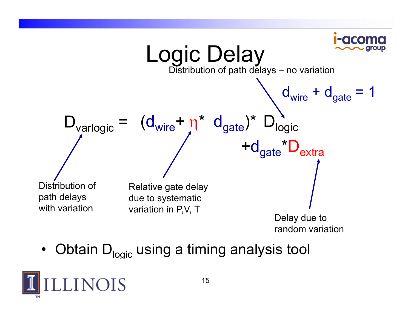

•Obtain  $D_{\text{noise}}$  using a timing analysis tool

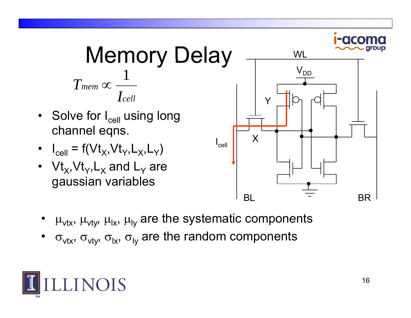

- •μ<sub>νtx</sub>, μ<sub>νty</sub>, μ<sub>ιx</sub>, μ<sub>ιy</sub> are the systematic components
- •σ<sub>νtx</sub>, σ<sub>νty</sub>, σ<sub>ιx</sub>, σ<sub>ιy</sub> are the random components

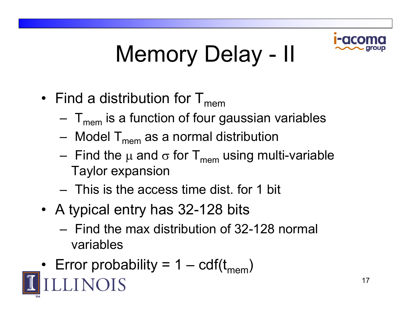

#### Memory Delay – II

- Find a distribution for  ${\sf T}_{\sf mem}$ 
	- – ${\sf T}_{\sf mem}$  is a function of four gaussian variables
	- $\,$  Model T $_{\sf mem}$  as a normal distribution
	- Find the μ and σ for T<sub>mem</sub> using multi-variable Taylor expansion
	- This is the access time dist. for 1 bit
- A typical entry has 32-128 bits
	- Find the max distribution of 32-128 normal variables
- Error probability = 1  ${\rm cdf(t_{mem})}$ –**LINOIS**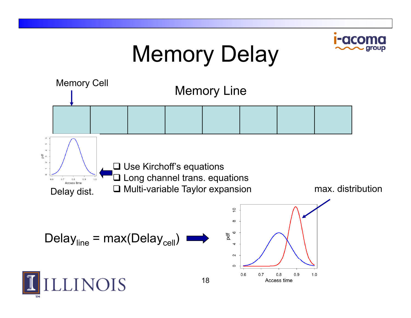# Memory Delay

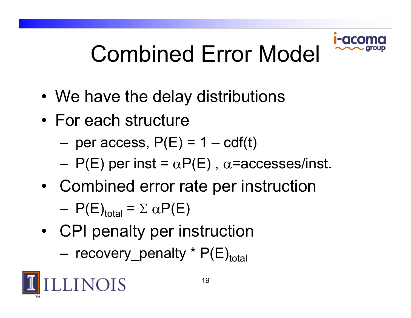

# Combined Error Model

- $\bullet\,$  We have the delay distributions
- For each structure
	- $-$  per access,  $\mathsf{P}(\mathsf{E})$  = 1  $-$  cdf(t)
	- $P(E)$  per inst =  $\alpha P(E)$  ,  $\alpha$ =accesses/inst.
- • Combined error rate per instruction
	- $P(E)_{total} = \sum \alpha P(E)$
- • CPI penalty per instruction
	- recovery\_penalty \* P(E)<sub>total</sub>

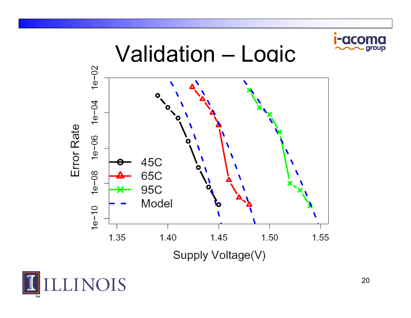



group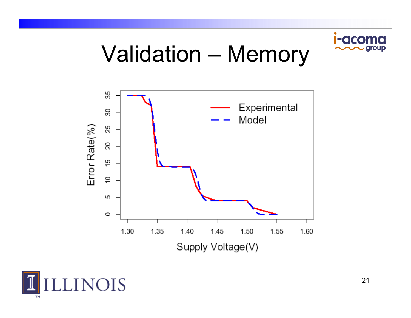

### **Validation - Memory**



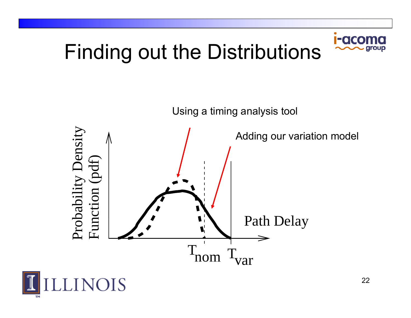# **Finding out the Distributions**

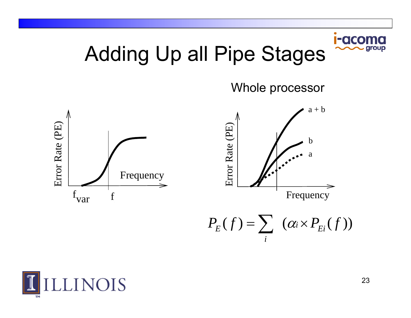

Adding Up all Pipe Stages

Whole processor





 $P_{E}(f) = \sum_{i}^{n} (a_{i} \times P_{E_{i}}(f))$ *i* $=$  >  $(\alpha_i \times$ 

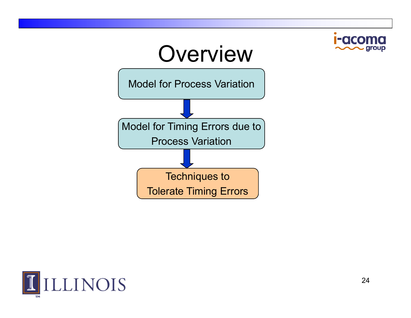

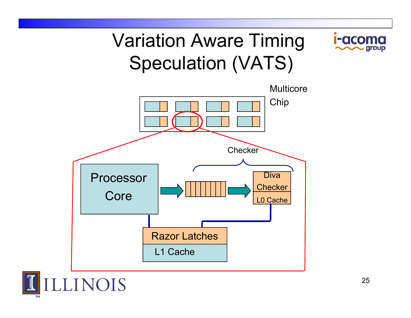### Variation Aware Timing Speculation (VATS)





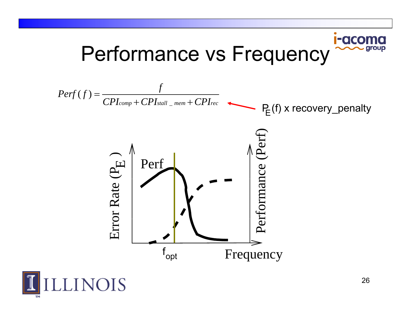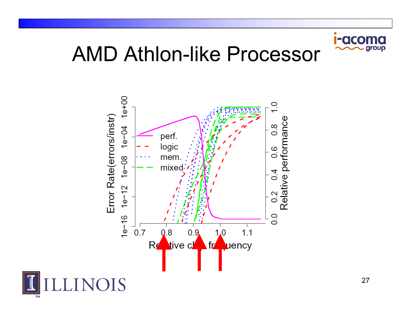

### AMD Athlon-like Processor